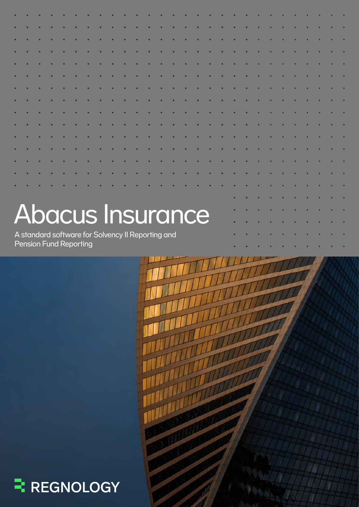|  | <b>Abacus Insurance</b>                                                            |  |  |  |  |  |  |  |  |  |  |  |  |  |  |  |  |  |  |  |  |
|--|------------------------------------------------------------------------------------|--|--|--|--|--|--|--|--|--|--|--|--|--|--|--|--|--|--|--|--|
|  |                                                                                    |  |  |  |  |  |  |  |  |  |  |  |  |  |  |  |  |  |  |  |  |
|  | A standard software for Solvency II Reporting and<br><b>Pension Fund Reporting</b> |  |  |  |  |  |  |  |  |  |  |  |  |  |  |  |  |  |  |  |  |



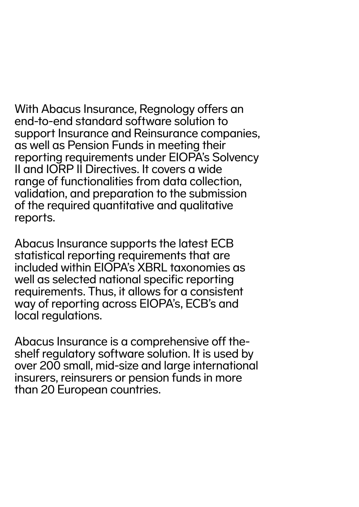With Abacus Insurance, Regnology offers an end-to-end standard software solution to support Insurance and Reinsurance companies, as well as Pension Funds in meeting their reporting requirements under EIOPA's Solvency II and IORP II Directives. It covers a wide range of functionalities from data collection, validation, and preparation to the submission of the required quantitative and qualitative reports.

Abacus Insurance supports the latest ECB statistical reporting requirements that are included within EIOPA's XBRL taxonomies as well as selected national specific reporting requirements. Thus, it allows for a consistent way of reporting across EIOPA's, ECB's and local regulations.

Abacus Insurance is a comprehensive off theshelf regulatory software solution. It is used by over 200 small, mid-size and large international insurers, reinsurers or pension funds in more than 20 European countries.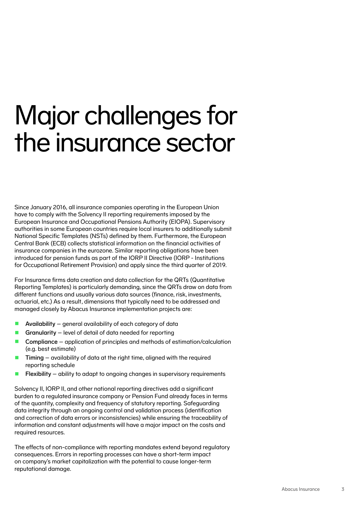## Major challenges for the insurance sector

Since January 2016, all insurance companies operating in the European Union have to comply with the Solvency II reporting requirements imposed by the European Insurance and Occupational Pensions Authority (EIOPA). Supervisory authorities in some European countries require local insurers to additionally submit National Specific Templates (NSTs) defined by them. Furthermore, the European Central Bank (ECB) collects statistical information on the financial activities of insurance companies in the eurozone. Similar reporting obligations have been introduced for pension funds as part of the IORP II Directive (IORP - Institutions for Occupational Retirement Provision) and apply since the third quarter of 2019.

For Insurance firms data creation and data collection for the QRTs (Quantitative Reporting Templates) is particularly demanding, since the QRTs draw on data from different functions and usually various data sources (finance, risk, investments, actuarial, etc.) As a result, dimensions that typically need to be addressed and managed closely by Abacus Insurance implementation projects are:

- **Availability** general availability of each category of data
- Granularity level of detail of data needed for reporting
- **Compliance** application of principles and methods of estimation/calculation (e.g. best estimate)
- $\blacksquare$  Timing availability of data at the right time, aligned with the required reporting schedule
- **Flexibility** ability to adapt to ongoing changes in supervisory requirements

Solvency II, IORP II, and other national reporting directives add a significant burden to a regulated insurance company or Pension Fund already faces in terms of the quantity, complexity and frequency of statutory reporting. Safeguarding data integrity through an ongoing control and validation process (identification and correction of data errors or inconsistencies) while ensuring the traceability of information and constant adjustments will have a major impact on the costs and required resources.

The effects of non-compliance with reporting mandates extend beyond regulatory consequences. Errors in reporting processes can have a short-term impact on company's market capitalization with the potential to cause longer-term reputational damage.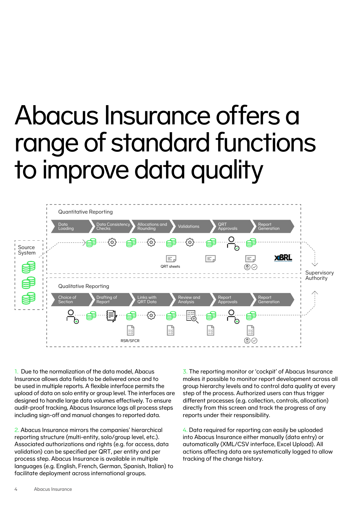# Abacus Insurance offers a range of standard functions to improve data quality



1. Due to the normalization of the data model, Abacus Insurance allows data fields to be delivered once and to be used in multiple reports. A flexible interface permits the upload of data on solo entity or group level. The interfaces are designed to handle large data volumes effectively. To ensure audit-proof tracking, Abacus Insurance logs all process steps including sign-off and manual changes to reported data.

2. Abacus Insurance mirrors the companies' hierarchical reporting structure (multi-entity, solo/group level, etc.). Associated authorizations and rights (e.g. for access, data validation) can be specified per QRT, per entity and per process step. Abacus Insurance is available in multiple languages (e.g. English, French, German, Spanish, Italian) to facilitate deployment across international groups.

3. The reporting monitor or 'cockpit' of Abacus Insurance makes it possible to monitor report development across all group hierarchy levels and to control data quality at every step of the process. Authorized users can thus trigger different processes (e.g. collection, controls, allocation) directly from this screen and track the progress of any reports under their responsibility.

4. Data required for reporting can easily be uploaded into Abacus Insurance either manually (data entry) or automatically (XML/CSV interface, Excel Upload). All actions affecting data are systematically logged to allow tracking of the change history.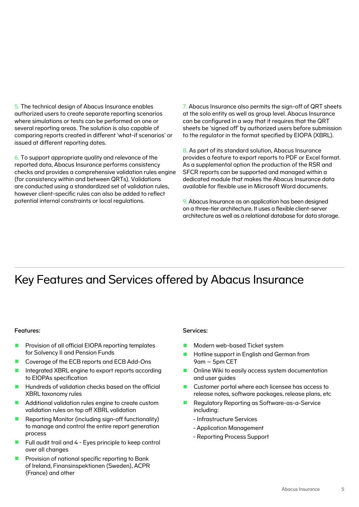5. The technical design of Abacus Insurance enables authorized users to create separate reporting scenarios where simulations or tests can be performed on one or several reporting areas. The solution is also capable of comparing reports created in different 'what-if scenarios' or issued at different reporting dates.

6. To support appropriate quality and relevance of the reported data, Abacus Insurance performs consistency checks and provides a comprehensive validation rules engine (for consistency within and between QRTs). Validations are conducted using a standardized set of validation rules, however client-specific rules can also be added to reflect potential internal constraints or local regulations.

7. Abacus Insurance also permits the sign-off of QRT sheets at the solo entity as well as group level. Abacus Insurance can be configured in a way that it requires that the QRT sheets be 'signed off' by authorized users before submission to the regulator in the format specified by EIOPA (XBRL).

8. As part of its standard solution, Abacus Insurance provides a feature to export reports to PDF or Excel format. As a supplemental option the production of the RSR and SFCR reports can be supported and managed within a dedicated module that makes the Abacus Insurance data available for flexible use in Microsoft Word documents.

9. Abacus Insurance as an application has been designed on a three-tier architecture. It uses a flexible client-server architecture as well as a relational database for data storage.

### Key Features and Services offered by Abacus Insurance

#### Features:

- Provision of all official EIOPA reporting templates for Solvency II and Pension Funds
- Coverage of the ECB reports and ECB Add-Ons
- Integrated XBRL engine to export reports according to EIOPAs specification
- **Hundreds of validation checks based on the official** XBRL taxonomy rules
- **Additional validation rules engine to create custom** validation rules on top off XBRL validation
- Reporting Monitor (including sign-off functionality) to manage and control the entire report generation process
- **Full audit trail and 4 Eyes principle to keep control** over all changes
- **Provision of national specific reporting to Bank** of Ireland, Finansinspektionen (Sweden), ACPR (France) and other

#### Services:

- Modern web-based Ticket system
- **Hotline support in English and German from** 9am – 5pm CET
- Online Wiki to easily access system documentation and user guides
- Customer portal where each licensee has access to release notes, software packages, release plans, etc
- Regulatory Reporting as Software-as-a-Service including:
	- Infrastructure Services
	- Application Management
	- Reporting Process Support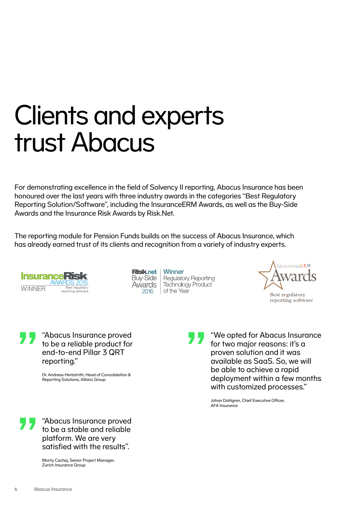## Clients and experts trust Abacus

For demonstrating excellence in the field of Solvency II reporting, Abacus Insurance has been honoured over the last years with three industry awards in the categories "Best Regulatory Reporting Solution/Software", including the InsuranceERM Awards, as well as the Buy-Side Awards and the Insurance Risk Awards by Risk.Net.

The reporting module for Pension Funds builds on the success of Abacus Insurance, which has already earned trust of its clients and recognition from a variety of industry experts.



Risk.net Buy-Side **Awards** 2016

Winner **Regulatory Reporting** Technology Product of the Year



"Abacus Insurance proved to be a reliable product for end-to-end Pillar 3 QRT reporting."

> Dr. Andreas Herbstrith, Head of Consolidation & Reporting Solutions, Allianz Group

"We opted for Abacus Insurance for two major reasons: it's a proven solution and it was available as SaaS. So, we will be able to achieve a rapid deployment within a few months with customized processes."

Johan Dahlgren, Chief Executive Officer, AFA Insurance

"Abacus Insurance proved to be a stable and reliable platform. We are very satisfied with the results".

> Monty Cachej, Senior Project Manager, Zurich Insurance Group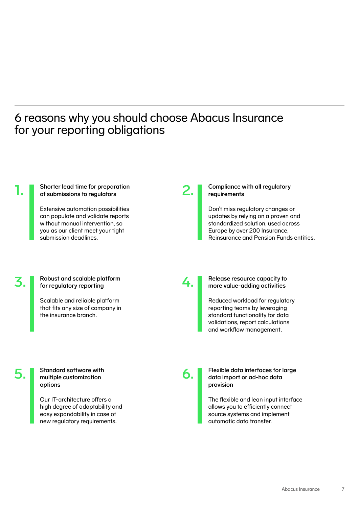### 6 reasons why you should choose Abacus Insurance for your reporting obligations